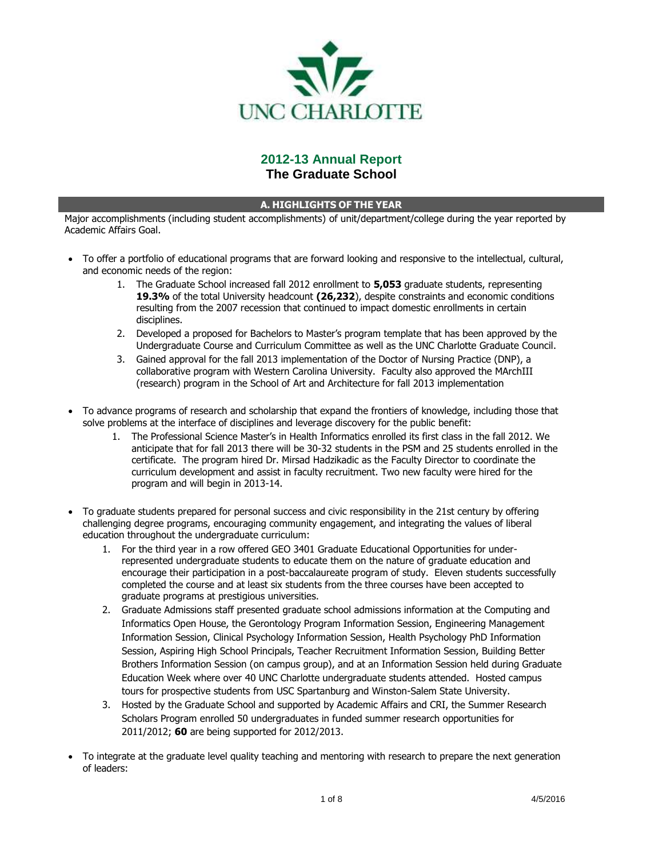

# **2012-13 Annual Report The Graduate School**

## **A. HIGHLIGHTS OF THE YEAR**

Major accomplishments (including student accomplishments) of unit/department/college during the year reported by Academic Affairs Goal.

- To offer a portfolio of educational programs that are forward looking and responsive to the intellectual, cultural, and economic needs of the region:
	- 1. The Graduate School increased fall 2012 enrollment to **5,053** graduate students, representing **19.3%** of the total University headcount **(26,232**), despite constraints and economic conditions resulting from the 2007 recession that continued to impact domestic enrollments in certain disciplines.
	- 2. Developed a proposed for Bachelors to Master's program template that has been approved by the Undergraduate Course and Curriculum Committee as well as the UNC Charlotte Graduate Council.
	- 3. Gained approval for the fall 2013 implementation of the Doctor of Nursing Practice (DNP), a collaborative program with Western Carolina University. Faculty also approved the MArchIII (research) program in the School of Art and Architecture for fall 2013 implementation
- To advance programs of research and scholarship that expand the frontiers of knowledge, including those that solve problems at the interface of disciplines and leverage discovery for the public benefit:
	- 1. The Professional Science Master's in Health Informatics enrolled its first class in the fall 2012. We anticipate that for fall 2013 there will be 30-32 students in the PSM and 25 students enrolled in the certificate. The program hired Dr. Mirsad Hadzikadic as the Faculty Director to coordinate the curriculum development and assist in faculty recruitment. Two new faculty were hired for the program and will begin in 2013-14.
- To graduate students prepared for personal success and civic responsibility in the 21st century by offering challenging degree programs, encouraging community engagement, and integrating the values of liberal education throughout the undergraduate curriculum:
	- 1. For the third year in a row offered GEO 3401 Graduate Educational Opportunities for underrepresented undergraduate students to educate them on the nature of graduate education and encourage their participation in a post-baccalaureate program of study. Eleven students successfully completed the course and at least six students from the three courses have been accepted to graduate programs at prestigious universities.
	- 2. Graduate Admissions staff presented graduate school admissions information at the Computing and Informatics Open House, the Gerontology Program Information Session, Engineering Management Information Session, Clinical Psychology Information Session, Health Psychology PhD Information Session, Aspiring High School Principals, Teacher Recruitment Information Session, Building Better Brothers Information Session (on campus group), and at an Information Session held during Graduate Education Week where over 40 UNC Charlotte undergraduate students attended. Hosted campus tours for prospective students from USC Spartanburg and Winston-Salem State University.
	- 3. Hosted by the Graduate School and supported by Academic Affairs and CRI, the Summer Research Scholars Program enrolled 50 undergraduates in funded summer research opportunities for 2011/2012; **60** are being supported for 2012/2013.
- To integrate at the graduate level quality teaching and mentoring with research to prepare the next generation of leaders: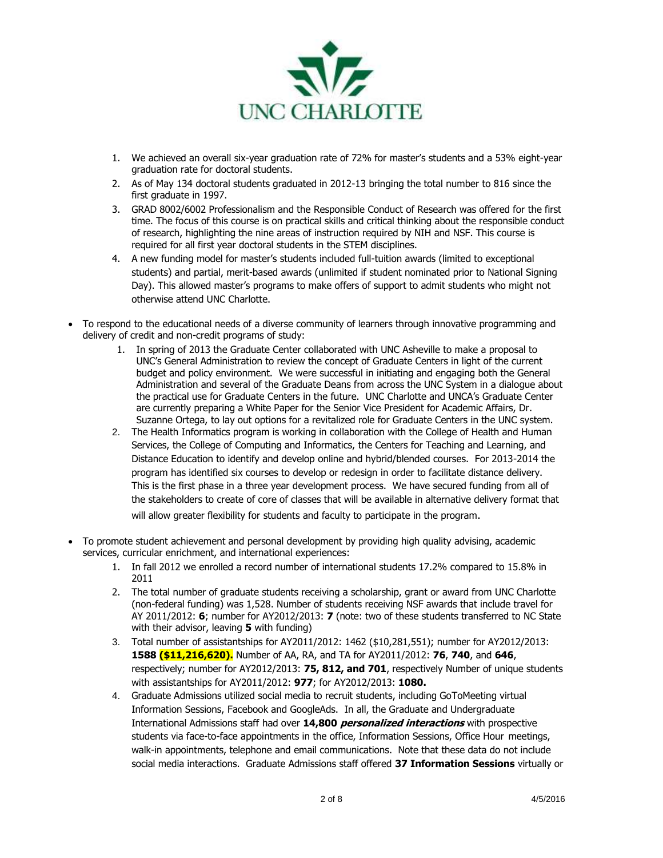

- 1. We achieved an overall six-year graduation rate of 72% for master's students and a 53% eight-year graduation rate for doctoral students.
- 2. As of May 134 doctoral students graduated in 2012-13 bringing the total number to 816 since the first graduate in 1997.
- 3. GRAD 8002/6002 Professionalism and the Responsible Conduct of Research was offered for the first time. The focus of this course is on practical skills and critical thinking about the responsible conduct of research, highlighting the nine areas of instruction required by NIH and NSF. This course is required for all first year doctoral students in the STEM disciplines.
- 4. A new funding model for master's students included full-tuition awards (limited to exceptional students) and partial, merit-based awards (unlimited if student nominated prior to National Signing Day). This allowed master's programs to make offers of support to admit students who might not otherwise attend UNC Charlotte.
- To respond to the educational needs of a diverse community of learners through innovative programming and delivery of credit and non-credit programs of study:
	- 1. In spring of 2013 the Graduate Center collaborated with UNC Asheville to make a proposal to UNC's General Administration to review the concept of Graduate Centers in light of the current budget and policy environment. We were successful in initiating and engaging both the General Administration and several of the Graduate Deans from across the UNC System in a dialogue about the practical use for Graduate Centers in the future. UNC Charlotte and UNCA's Graduate Center are currently preparing a White Paper for the Senior Vice President for Academic Affairs, Dr. Suzanne Ortega, to lay out options for a revitalized role for Graduate Centers in the UNC system.
	- 2. The Health Informatics program is working in collaboration with the College of Health and Human Services, the College of Computing and Informatics, the Centers for Teaching and Learning, and Distance Education to identify and develop online and hybrid/blended courses. For 2013-2014 the program has identified six courses to develop or redesign in order to facilitate distance delivery. This is the first phase in a three year development process. We have secured funding from all of the stakeholders to create of core of classes that will be available in alternative delivery format that will allow greater flexibility for students and faculty to participate in the program.
- To promote student achievement and personal development by providing high quality advising, academic services, curricular enrichment, and international experiences:
	- 1. In fall 2012 we enrolled a record number of international students 17.2% compared to 15.8% in 2011
	- 2. The total number of graduate students receiving a scholarship, grant or award from UNC Charlotte (non-federal funding) was 1,528. Number of students receiving NSF awards that include travel for AY 2011/2012: **6**; number for AY2012/2013: **7** (note: two of these students transferred to NC State with their advisor, leaving **5** with funding)
	- 3. Total number of assistantships for AY2011/2012: 1462 (\$10,281,551); number for AY2012/2013: **1588 (\$11,216,620).** Number of AA, RA, and TA for AY2011/2012: **76**, **740**, and **646**, respectively; number for AY2012/2013: **75, 812, and 701**, respectively Number of unique students with assistantships for AY2011/2012: **977**; for AY2012/2013: **1080.**
	- 4. Graduate Admissions utilized social media to recruit students, including GoToMeeting virtual Information Sessions, Facebook and GoogleAds. In all, the Graduate and Undergraduate International Admissions staff had over **14,800 personalized interactions** with prospective students via face-to-face appointments in the office, Information Sessions, Office Hour meetings, walk-in appointments, telephone and email communications. Note that these data do not include social media interactions. Graduate Admissions staff offered **37 Information Sessions** virtually or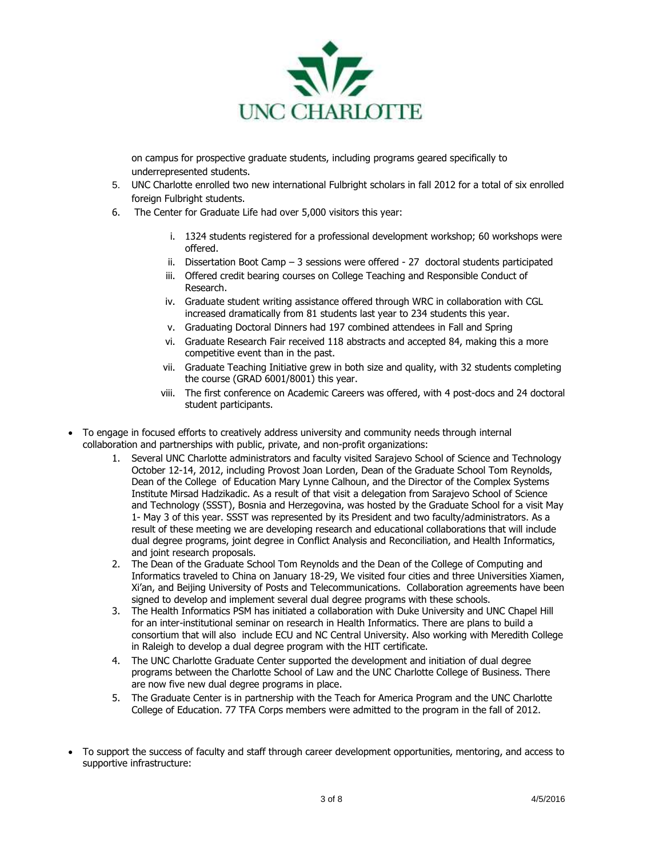

on campus for prospective graduate students, including programs geared specifically to underrepresented students.

- 5. UNC Charlotte enrolled two new international Fulbright scholars in fall 2012 for a total of six enrolled foreign Fulbright students.
- 6. The Center for Graduate Life had over 5,000 visitors this year:
	- i. 1324 students registered for a professional development workshop; 60 workshops were offered.
	- ii. Dissertation Boot Camp 3 sessions were offered 27 doctoral students participated
	- iii. Offered credit bearing courses on College Teaching and Responsible Conduct of Research.
	- iv. Graduate student writing assistance offered through WRC in collaboration with CGL increased dramatically from 81 students last year to 234 students this year.
	- v. Graduating Doctoral Dinners had 197 combined attendees in Fall and Spring
	- vi. Graduate Research Fair received 118 abstracts and accepted 84, making this a more competitive event than in the past.
	- vii. Graduate Teaching Initiative grew in both size and quality, with 32 students completing the course (GRAD 6001/8001) this year.
	- viii. The first conference on Academic Careers was offered, with 4 post-docs and 24 doctoral student participants.
- To engage in focused efforts to creatively address university and community needs through internal collaboration and partnerships with public, private, and non-profit organizations:
	- 1. Several UNC Charlotte administrators and faculty visited Sarajevo School of Science and Technology October 12-14, 2012, including Provost Joan Lorden, Dean of the Graduate School Tom Reynolds, Dean of the College of Education Mary Lynne Calhoun, and the Director of the Complex Systems Institute Mirsad Hadzikadic. As a result of that visit a delegation from Sarajevo School of Science and Technology (SSST), Bosnia and Herzegovina, was hosted by the Graduate School for a visit May 1- May 3 of this year. SSST was represented by its President and two faculty/administrators. As a result of these meeting we are developing research and educational collaborations that will include dual degree programs, joint degree in Conflict Analysis and Reconciliation, and Health Informatics, and joint research proposals.
	- 2. The Dean of the Graduate School Tom Reynolds and the Dean of the College of Computing and Informatics traveled to China on January 18-29, We visited four cities and three Universities Xiamen, Xi'an, and Beijing University of Posts and Telecommunications. Collaboration agreements have been signed to develop and implement several dual degree programs with these schools.
	- 3. The Health Informatics PSM has initiated a collaboration with Duke University and UNC Chapel Hill for an inter-institutional seminar on research in Health Informatics. There are plans to build a consortium that will also include ECU and NC Central University. Also working with Meredith College in Raleigh to develop a dual degree program with the HIT certificate.
	- 4. The UNC Charlotte Graduate Center supported the development and initiation of dual degree programs between the Charlotte School of Law and the UNC Charlotte College of Business. There are now five new dual degree programs in place.
	- 5. The Graduate Center is in partnership with the Teach for America Program and the UNC Charlotte College of Education. 77 TFA Corps members were admitted to the program in the fall of 2012.
- To support the success of faculty and staff through career development opportunities, mentoring, and access to supportive infrastructure: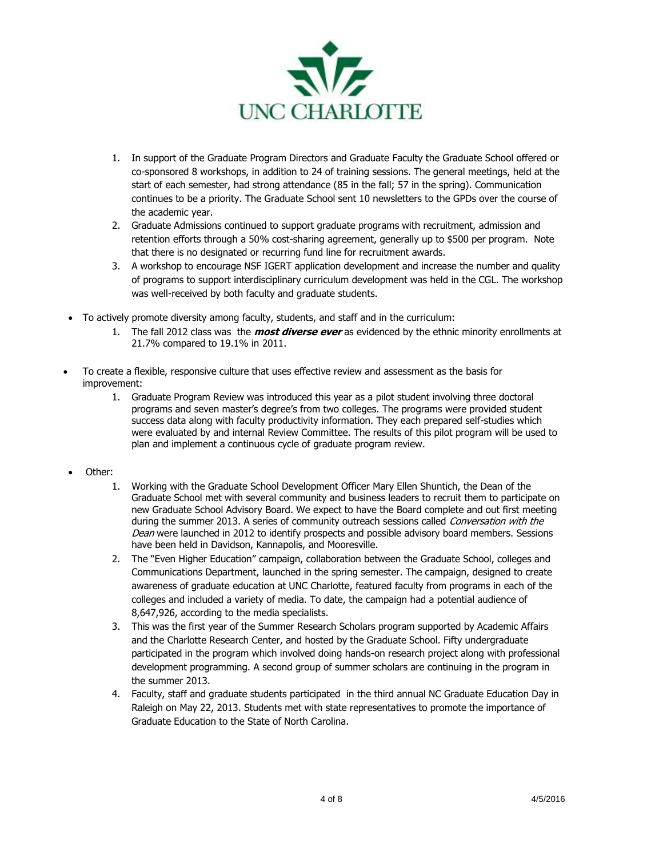

- 1. In support of the Graduate Program Directors and Graduate Faculty the Graduate School offered or co-sponsored 8 workshops, in addition to 24 of training sessions. The general meetings, held at the start of each semester, had strong attendance (85 in the fall; 57 in the spring). Communication continues to be a priority. The Graduate School sent 10 newsletters to the GPDs over the course of the academic year.
- 2. Graduate Admissions continued to support graduate programs with recruitment, admission and retention efforts through a 50% cost-sharing agreement, generally up to \$500 per program. Note that there is no designated or recurring fund line for recruitment awards.
- 3. A workshop to encourage NSF IGERT application development and increase the number and quality of programs to support interdisciplinary curriculum development was held in the CGL. The workshop was well-received by both faculty and graduate students.
- To actively promote diversity among faculty, students, and staff and in the curriculum:
	- 1. The fall 2012 class was the **most diverse ever** as evidenced by the ethnic minority enrollments at 21.7% compared to 19.1% in 2011.
- To create a flexible, responsive culture that uses effective review and assessment as the basis for improvement:
	- 1. Graduate Program Review was introduced this year as a pilot student involving three doctoral programs and seven master's degree's from two colleges. The programs were provided student success data along with faculty productivity information. They each prepared self-studies which were evaluated by and internal Review Committee. The results of this pilot program will be used to plan and implement a continuous cycle of graduate program review.
- Other:
	- 1. Working with the Graduate School Development Officer Mary Ellen Shuntich, the Dean of the Graduate School met with several community and business leaders to recruit them to participate on new Graduate School Advisory Board. We expect to have the Board complete and out first meeting during the summer 2013. A series of community outreach sessions called Conversation with the Dean were launched in 2012 to identify prospects and possible advisory board members. Sessions have been held in Davidson, Kannapolis, and Mooresville.
	- 2. The "Even Higher Education" campaign, collaboration between the Graduate School, colleges and Communications Department, launched in the spring semester. The campaign, designed to create awareness of graduate education at UNC Charlotte, featured faculty from programs in each of the colleges and included a variety of media. To date, the campaign had a potential audience of 8,647,926, according to the media specialists.
	- 3. This was the first year of the Summer Research Scholars program supported by Academic Affairs and the Charlotte Research Center, and hosted by the Graduate School. Fifty undergraduate participated in the program which involved doing hands-on research project along with professional development programming. A second group of summer scholars are continuing in the program in the summer 2013.
	- 4. Faculty, staff and graduate students participated in the third annual NC Graduate Education Day in Raleigh on May 22, 2013. Students met with state representatives to promote the importance of Graduate Education to the State of North Carolina.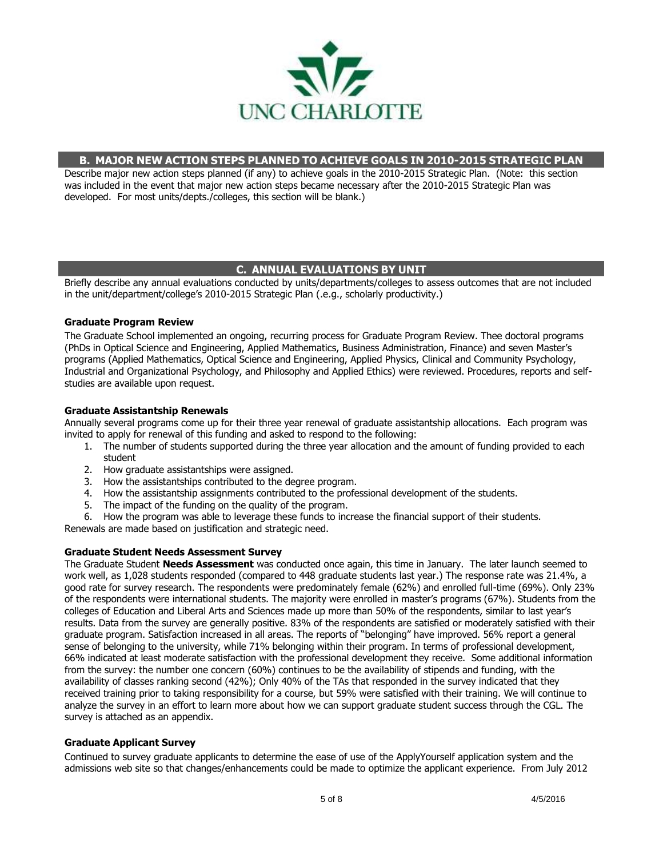

## **B. MAJOR NEW ACTION STEPS PLANNED TO ACHIEVE GOALS IN 2010-2015 STRATEGIC PLAN**

Describe major new action steps planned (if any) to achieve goals in the 2010-2015 Strategic Plan. (Note: this section was included in the event that major new action steps became necessary after the 2010-2015 Strategic Plan was developed. For most units/depts./colleges, this section will be blank.)

## **C. ANNUAL EVALUATIONS BY UNIT**

Briefly describe any annual evaluations conducted by units/departments/colleges to assess outcomes that are not included in the unit/department/college's 2010-2015 Strategic Plan (.e.g., scholarly productivity.)

## **Graduate Program Review**

The Graduate School implemented an ongoing, recurring process for Graduate Program Review. Thee doctoral programs (PhDs in Optical Science and Engineering, Applied Mathematics, Business Administration, Finance) and seven Master's programs (Applied Mathematics, Optical Science and Engineering, Applied Physics, Clinical and Community Psychology, Industrial and Organizational Psychology, and Philosophy and Applied Ethics) were reviewed. Procedures, reports and selfstudies are available upon request.

#### **Graduate Assistantship Renewals**

Annually several programs come up for their three year renewal of graduate assistantship allocations. Each program was invited to apply for renewal of this funding and asked to respond to the following:

- 1. The number of students supported during the three year allocation and the amount of funding provided to each student
- 2. How graduate assistantships were assigned.
- 3. How the assistantships contributed to the degree program.
- 4. How the assistantship assignments contributed to the professional development of the students.
- 5. The impact of the funding on the quality of the program.
- 6. How the program was able to leverage these funds to increase the financial support of their students.

Renewals are made based on justification and strategic need.

## **Graduate Student Needs Assessment Survey**

The Graduate Student **Needs Assessment** was conducted once again, this time in January. The later launch seemed to work well, as 1,028 students responded (compared to 448 graduate students last year.) The response rate was 21.4%, a good rate for survey research. The respondents were predominately female (62%) and enrolled full-time (69%). Only 23% of the respondents were international students. The majority were enrolled in master's programs (67%). Students from the colleges of Education and Liberal Arts and Sciences made up more than 50% of the respondents, similar to last year's results. Data from the survey are generally positive. 83% of the respondents are satisfied or moderately satisfied with their graduate program. Satisfaction increased in all areas. The reports of "belonging" have improved. 56% report a general sense of belonging to the university, while 71% belonging within their program. In terms of professional development, 66% indicated at least moderate satisfaction with the professional development they receive. Some additional information from the survey: the number one concern (60%) continues to be the availability of stipends and funding, with the availability of classes ranking second (42%); Only 40% of the TAs that responded in the survey indicated that they received training prior to taking responsibility for a course, but 59% were satisfied with their training. We will continue to analyze the survey in an effort to learn more about how we can support graduate student success through the CGL. The survey is attached as an appendix.

#### **Graduate Applicant Survey**

Continued to survey graduate applicants to determine the ease of use of the ApplyYourself application system and the admissions web site so that changes/enhancements could be made to optimize the applicant experience. From July 2012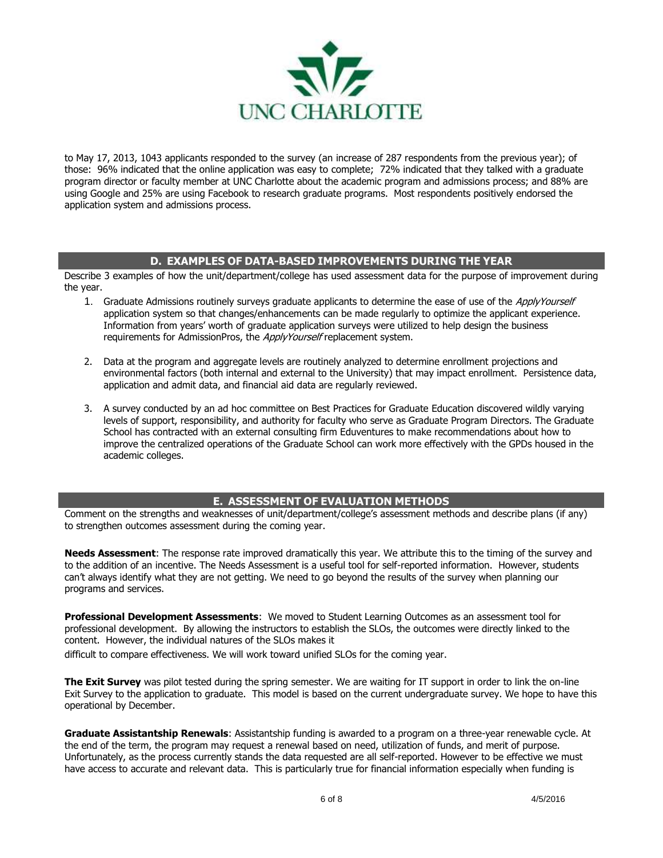

to May 17, 2013, 1043 applicants responded to the survey (an increase of 287 respondents from the previous year); of those: 96% indicated that the online application was easy to complete; 72% indicated that they talked with a graduate program director or faculty member at UNC Charlotte about the academic program and admissions process; and 88% are using Google and 25% are using Facebook to research graduate programs. Most respondents positively endorsed the application system and admissions process.

## **D. EXAMPLES OF DATA-BASED IMPROVEMENTS DURING THE YEAR**

Describe 3 examples of how the unit/department/college has used assessment data for the purpose of improvement during the year.

- 1. Graduate Admissions routinely surveys graduate applicants to determine the ease of use of the ApplyYourself application system so that changes/enhancements can be made regularly to optimize the applicant experience. Information from years' worth of graduate application surveys were utilized to help design the business requirements for AdmissionPros, the ApplyYourself replacement system.
- 2. Data at the program and aggregate levels are routinely analyzed to determine enrollment projections and environmental factors (both internal and external to the University) that may impact enrollment. Persistence data, application and admit data, and financial aid data are regularly reviewed.
- 3. A survey conducted by an ad hoc committee on Best Practices for Graduate Education discovered wildly varying levels of support, responsibility, and authority for faculty who serve as Graduate Program Directors. The Graduate School has contracted with an external consulting firm Eduventures to make recommendations about how to improve the centralized operations of the Graduate School can work more effectively with the GPDs housed in the academic colleges.

## **E. ASSESSMENT OF EVALUATION METHODS**

Comment on the strengths and weaknesses of unit/department/college's assessment methods and describe plans (if any) to strengthen outcomes assessment during the coming year.

**Needs Assessment**: The response rate improved dramatically this year. We attribute this to the timing of the survey and to the addition of an incentive. The Needs Assessment is a useful tool for self-reported information. However, students can't always identify what they are not getting. We need to go beyond the results of the survey when planning our programs and services.

**Professional Development Assessments**: We moved to Student Learning Outcomes as an assessment tool for professional development. By allowing the instructors to establish the SLOs, the outcomes were directly linked to the content. However, the individual natures of the SLOs makes it

difficult to compare effectiveness. We will work toward unified SLOs for the coming year.

**The Exit Survey** was pilot tested during the spring semester. We are waiting for IT support in order to link the on-line Exit Survey to the application to graduate. This model is based on the current undergraduate survey. We hope to have this operational by December.

**Graduate Assistantship Renewals**: Assistantship funding is awarded to a program on a three-year renewable cycle. At the end of the term, the program may request a renewal based on need, utilization of funds, and merit of purpose. Unfortunately, as the process currently stands the data requested are all self-reported. However to be effective we must have access to accurate and relevant data. This is particularly true for financial information especially when funding is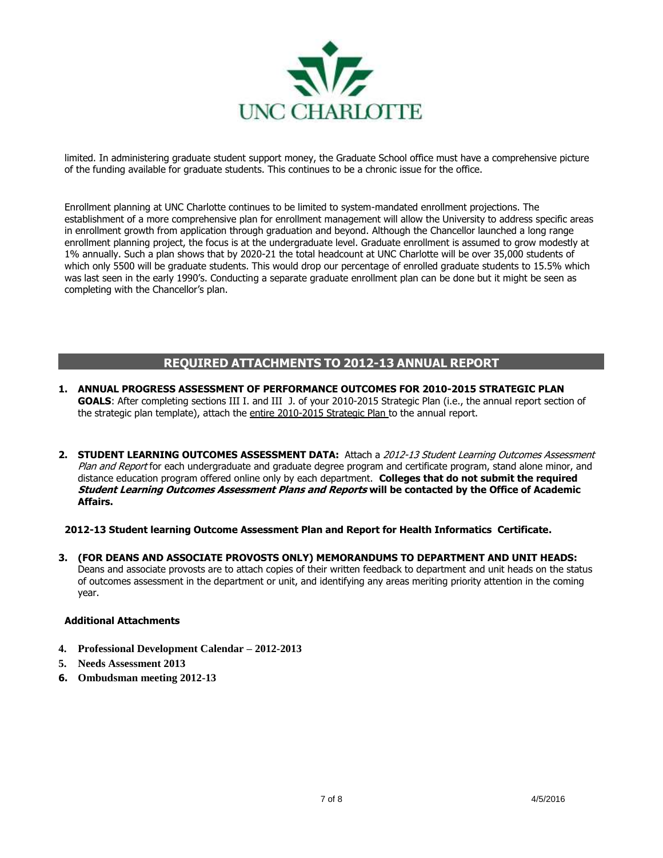

limited. In administering graduate student support money, the Graduate School office must have a comprehensive picture of the funding available for graduate students. This continues to be a chronic issue for the office.

Enrollment planning at UNC Charlotte continues to be limited to system-mandated enrollment projections. The establishment of a more comprehensive plan for enrollment management will allow the University to address specific areas in enrollment growth from application through graduation and beyond. Although the Chancellor launched a long range enrollment planning project, the focus is at the undergraduate level. Graduate enrollment is assumed to grow modestly at 1% annually. Such a plan shows that by 2020-21 the total headcount at UNC Charlotte will be over 35,000 students of which only 5500 will be graduate students. This would drop our percentage of enrolled graduate students to 15.5% which was last seen in the early 1990's. Conducting a separate graduate enrollment plan can be done but it might be seen as completing with the Chancellor's plan.

## **REQUIRED ATTACHMENTS TO 2012-13 ANNUAL REPORT**

- **1. ANNUAL PROGRESS ASSESSMENT OF PERFORMANCE OUTCOMES FOR 2010-2015 STRATEGIC PLAN GOALS**: After completing sections III I. and III J. of your 2010-2015 Strategic Plan (i.e., the annual report section of the strategic plan template), attach the entire 2010-2015 Strategic Plan to the annual report.
- **2. STUDENT LEARNING OUTCOMES ASSESSMENT DATA:** Attach a 2012-13 Student Learning Outcomes Assessment Plan and Report for each undergraduate and graduate degree program and certificate program, stand alone minor, and distance education program offered online only by each department. **Colleges that do not submit the required Student Learning Outcomes Assessment Plans and Reports will be contacted by the Office of Academic Affairs.**

## **2012-13 Student learning Outcome Assessment Plan and Report for Health Informatics Certificate.**

**3. (FOR DEANS AND ASSOCIATE PROVOSTS ONLY) MEMORANDUMS TO DEPARTMENT AND UNIT HEADS:**  Deans and associate provosts are to attach copies of their written feedback to department and unit heads on the status of outcomes assessment in the department or unit, and identifying any areas meriting priority attention in the coming year.

## **Additional Attachments**

- **4. Professional Development Calendar – 2012-2013**
- **5. Needs Assessment 2013**
- **6. Ombudsman meeting 2012-13**